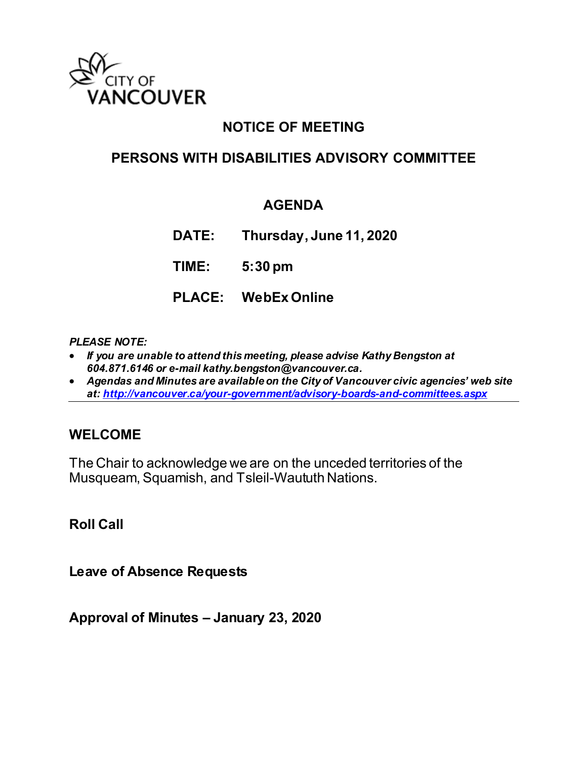

# **NOTICE OF MEETING**

# **PERSONS WITH DISABILITIES ADVISORY COMMITTEE**

## **AGENDA**

**DATE: Thursday, June 11, 2020**

**TIME: 5:30 pm**

**PLACE: WebEx Online**

### *PLEASE NOTE:*

- *If you are unable to attend this meeting, please advise Kathy Bengston at 604.871.6146 or e-mail kathy.bengston@vancouver.ca.*
- *Agendas and Minutes are available on the City of Vancouver civic agencies' web site at[: http://vancouver.ca/your-government/advisory-boards-and-committees.aspx](http://vancouver.ca/your-government/advisory-boards-and-committees.aspx)*

## **WELCOME**

The Chair to acknowledge we are on the unceded territories of the Musqueam, Squamish, and Tsleil-Waututh Nations.

**Roll Call** 

**Leave of Absence Requests** 

**Approval of Minutes – January 23, 2020**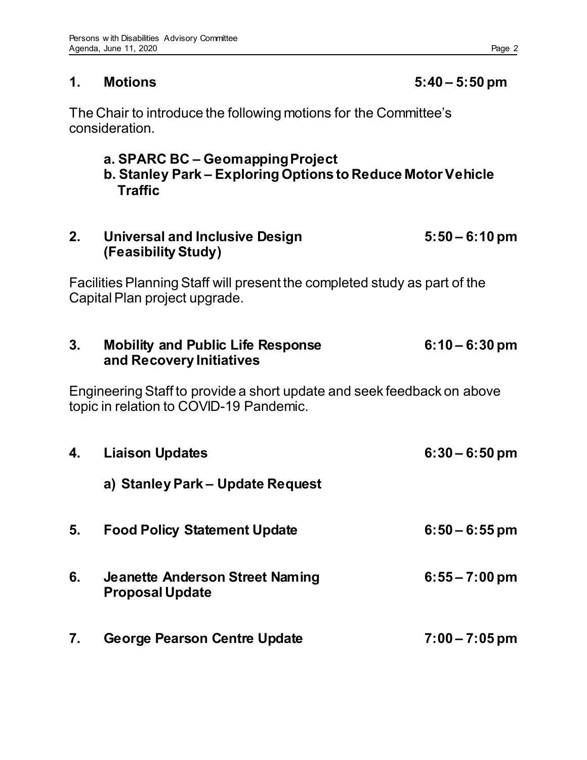## The Chair to introduce the following motions for the Committee's consideration.

# **a. SPARC BC – Geomapping Project**

 **b. Stanley Park – Exploring Options to Reduce Motor Vehicle Traffic** 

# **2. Universal and Inclusive Design 5:50 – 6:10 pm (Feasibility Study)**

Facilities Planning Staff will present the completed study as part of the Capital Plan project upgrade.

# **3. Mobility and Public Life Response 6:10 – 6:30 pm and Recovery Initiatives**

Engineering Staff to provide a short update and seek feedback on above topic in relation to COVID-19 Pandemic.

| 4. | <b>Liaison Updates</b>                                           | $6:30 - 6:50$ pm |
|----|------------------------------------------------------------------|------------------|
|    | a) Stanley Park – Update Request                                 |                  |
| 5. | <b>Food Policy Statement Update</b>                              | $6:50 - 6:55$ pm |
| 6. | <b>Jeanette Anderson Street Naming</b><br><b>Proposal Update</b> | $6:55 - 7:00$ pm |
| 7. | <b>George Pearson Centre Update</b>                              | $7:00 - 7:05$ pm |

## **1. Motions 5:40 – 5:50 pm**